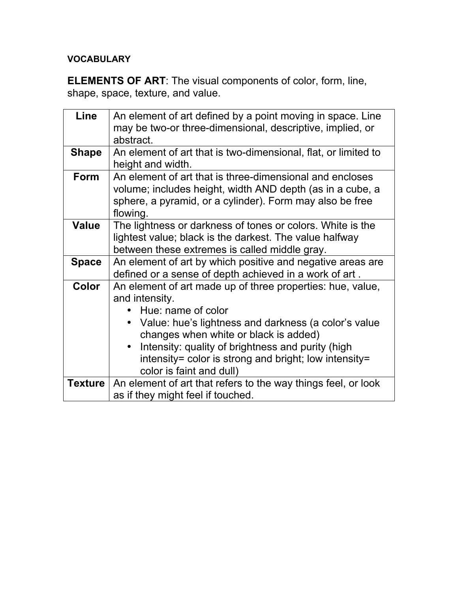## **VOCABULARY**

**ELEMENTS OF ART**: The visual components of color, form, line, shape, space, texture, and value.

| <b>Line</b>  | An element of art defined by a point moving in space. Line<br>may be two-or three-dimensional, descriptive, implied, or<br>abstract.                                                                                                                                                                                                            |
|--------------|-------------------------------------------------------------------------------------------------------------------------------------------------------------------------------------------------------------------------------------------------------------------------------------------------------------------------------------------------|
| <b>Shape</b> | An element of art that is two-dimensional, flat, or limited to<br>height and width.                                                                                                                                                                                                                                                             |
| Form         | An element of art that is three-dimensional and encloses<br>volume; includes height, width AND depth (as in a cube, a<br>sphere, a pyramid, or a cylinder). Form may also be free<br>flowing.                                                                                                                                                   |
| <b>Value</b> | The lightness or darkness of tones or colors. White is the<br>lightest value; black is the darkest. The value halfway<br>between these extremes is called middle gray.                                                                                                                                                                          |
| <b>Space</b> | An element of art by which positive and negative areas are<br>defined or a sense of depth achieved in a work of art.                                                                                                                                                                                                                            |
| <b>Color</b> | An element of art made up of three properties: hue, value,<br>and intensity.<br>Hue: name of color<br>• Value: hue's lightness and darkness (a color's value<br>changes when white or black is added)<br>Intensity: quality of brightness and purity (high<br>intensity= color is strong and bright; low intensity=<br>color is faint and dull) |
|              | <b>Texture</b>   An element of art that refers to the way things feel, or look<br>as if they might feel if touched.                                                                                                                                                                                                                             |